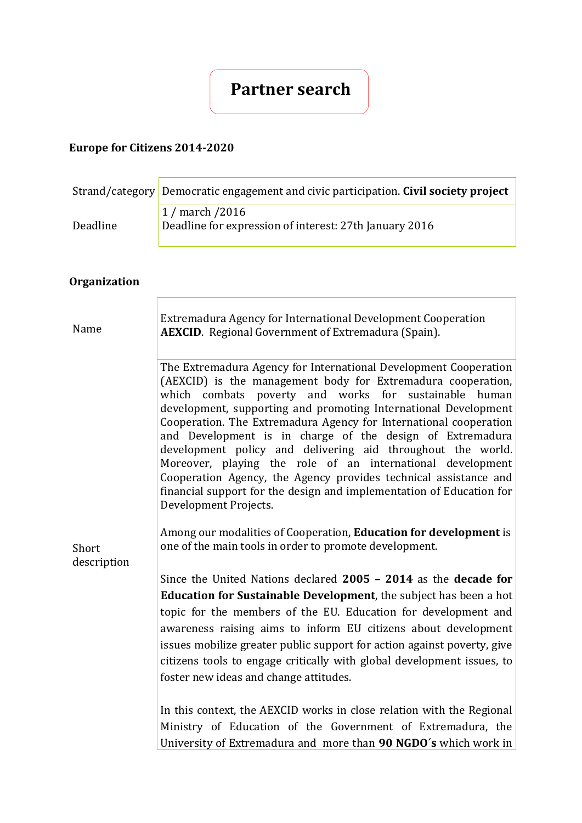# **Partner search**

## **Europe for Citizens 2014-2020**

|                      | Strand/category Democratic engagement and civic participation. Civil society project                                                                                                                                                                                                                                                                                                                                                                                                                                                                                                                                                                                                                |  |  |  |  |  |
|----------------------|-----------------------------------------------------------------------------------------------------------------------------------------------------------------------------------------------------------------------------------------------------------------------------------------------------------------------------------------------------------------------------------------------------------------------------------------------------------------------------------------------------------------------------------------------------------------------------------------------------------------------------------------------------------------------------------------------------|--|--|--|--|--|
| Deadline             | 1 / march / 2016<br>Deadline for expression of interest: 27th January 2016                                                                                                                                                                                                                                                                                                                                                                                                                                                                                                                                                                                                                          |  |  |  |  |  |
| <b>Organization</b>  |                                                                                                                                                                                                                                                                                                                                                                                                                                                                                                                                                                                                                                                                                                     |  |  |  |  |  |
| Name                 | Extremadura Agency for International Development Cooperation<br><b>AEXCID.</b> Regional Government of Extremadura (Spain).                                                                                                                                                                                                                                                                                                                                                                                                                                                                                                                                                                          |  |  |  |  |  |
| Short<br>description | The Extremadura Agency for International Development Cooperation<br>(AEXCID) is the management body for Extremadura cooperation,<br>which combats poverty and works for<br>sustainable human<br>development, supporting and promoting International Development<br>Cooperation. The Extremadura Agency for International cooperation<br>and Development is in charge of the design of Extremadura<br>development policy and delivering aid throughout the world.<br>Moreover, playing the role of an international development<br>Cooperation Agency, the Agency provides technical assistance and<br>financial support for the design and implementation of Education for<br>Development Projects. |  |  |  |  |  |
|                      | Among our modalities of Cooperation, Education for development is<br>one of the main tools in order to promote development.                                                                                                                                                                                                                                                                                                                                                                                                                                                                                                                                                                         |  |  |  |  |  |
|                      | Since the United Nations declared 2005 - 2014 as the decade for<br><b>Education for Sustainable Development</b> , the subject has been a hot<br>topic for the members of the EU. Education for development and<br>awareness raising aims to inform EU citizens about development<br>issues mobilize greater public support for action against poverty, give<br>citizens tools to engage critically with global development issues, to<br>foster new ideas and change attitudes.<br>In this context, the AEXCID works in close relation with the Regional                                                                                                                                            |  |  |  |  |  |
|                      | Ministry of Education of the Government of Extremadura, the<br>University of Extremadura and more than 90 NGDO's which work in                                                                                                                                                                                                                                                                                                                                                                                                                                                                                                                                                                      |  |  |  |  |  |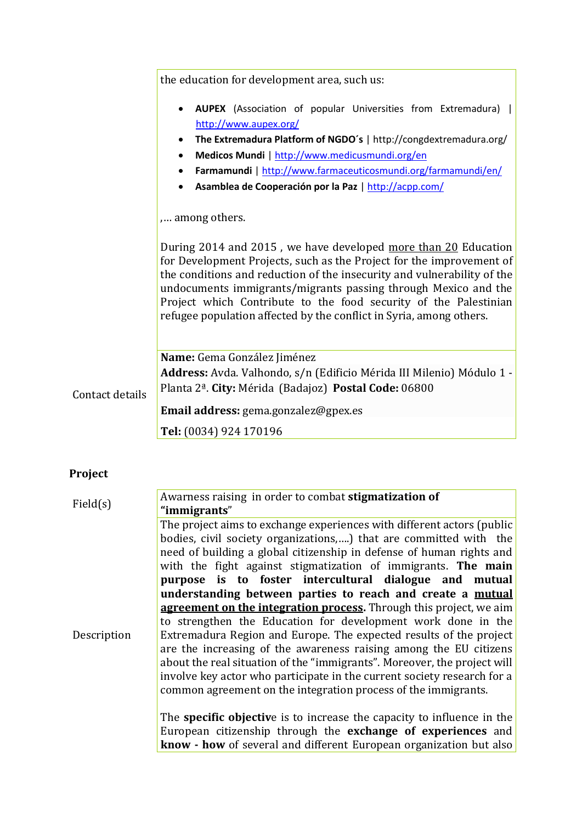|                 | the education for development area, such us:                                                                                                                                                                                                                                                                                                                                                                                   |  |  |  |  |  |  |  |  |  |
|-----------------|--------------------------------------------------------------------------------------------------------------------------------------------------------------------------------------------------------------------------------------------------------------------------------------------------------------------------------------------------------------------------------------------------------------------------------|--|--|--|--|--|--|--|--|--|
|                 | <b>AUPEX</b> (Association of popular Universities from Extremadura)  <br>$\bullet$<br>http://www.aupex.org/                                                                                                                                                                                                                                                                                                                    |  |  |  |  |  |  |  |  |  |
|                 | The Extremadura Platform of NGDO's   http://congdextremadura.org/<br>٠                                                                                                                                                                                                                                                                                                                                                         |  |  |  |  |  |  |  |  |  |
|                 | Medicos Mundi   http://www.medicusmundi.org/en<br>$\bullet$                                                                                                                                                                                                                                                                                                                                                                    |  |  |  |  |  |  |  |  |  |
|                 | Farmamundi   http://www.farmaceuticosmundi.org/farmamundi/en/<br>$\bullet$                                                                                                                                                                                                                                                                                                                                                     |  |  |  |  |  |  |  |  |  |
|                 | Asamblea de Cooperación por la Paz   http://acpp.com/                                                                                                                                                                                                                                                                                                                                                                          |  |  |  |  |  |  |  |  |  |
|                 | among others.                                                                                                                                                                                                                                                                                                                                                                                                                  |  |  |  |  |  |  |  |  |  |
|                 | During 2014 and 2015, we have developed more than 20 Education<br>for Development Projects, such as the Project for the improvement of<br>the conditions and reduction of the insecurity and vulnerability of the<br>undocuments immigrants/migrants passing through Mexico and the<br>Project which Contribute to the food security of the Palestinian<br>refugee population affected by the conflict in Syria, among others. |  |  |  |  |  |  |  |  |  |
|                 | Name: Gema González Jiménez                                                                                                                                                                                                                                                                                                                                                                                                    |  |  |  |  |  |  |  |  |  |
|                 | <b>Address:</b> Avda. Valhondo, s/n (Edificio Mérida III Milenio) Módulo 1 -                                                                                                                                                                                                                                                                                                                                                   |  |  |  |  |  |  |  |  |  |
| Contact details | Planta 2 <sup>ª</sup> . City: Mérida (Badajoz) Postal Code: 06800                                                                                                                                                                                                                                                                                                                                                              |  |  |  |  |  |  |  |  |  |
|                 | Email address: gema.gonzalez@gpex.es                                                                                                                                                                                                                                                                                                                                                                                           |  |  |  |  |  |  |  |  |  |
|                 | Tel: (0034) 924 170196                                                                                                                                                                                                                                                                                                                                                                                                         |  |  |  |  |  |  |  |  |  |
|                 |                                                                                                                                                                                                                                                                                                                                                                                                                                |  |  |  |  |  |  |  |  |  |

## **Project**

| Field(s)    | Awarness raising in order to combat stigmatization of                                                                                                                                                                                                                                                                                                                                                                                                                                                                                                                                                                                                                                                                                                                                                                                                                                                                                                                                                                                                                                   |
|-------------|-----------------------------------------------------------------------------------------------------------------------------------------------------------------------------------------------------------------------------------------------------------------------------------------------------------------------------------------------------------------------------------------------------------------------------------------------------------------------------------------------------------------------------------------------------------------------------------------------------------------------------------------------------------------------------------------------------------------------------------------------------------------------------------------------------------------------------------------------------------------------------------------------------------------------------------------------------------------------------------------------------------------------------------------------------------------------------------------|
| Description | "immigrants"<br>The project aims to exchange experiences with different actors (public<br>bodies, civil society organizations,) that are committed with the<br>need of building a global citizenship in defense of human rights and<br>with the fight against stigmatization of immigrants. The main<br>purpose is to foster intercultural dialogue and mutual<br>understanding between parties to reach and create a mutual<br>agreement on the integration process. Through this project, we aim<br>to strengthen the Education for development work done in the<br>Extremadura Region and Europe. The expected results of the project<br>are the increasing of the awareness raising among the EU citizens<br>about the real situation of the "immigrants". Moreover, the project will<br>involve key actor who participate in the current society research for a<br>common agreement on the integration process of the immigrants.<br>The <b>specific objective</b> is to increase the capacity to influence in the<br>European citizenship through the exchange of experiences and |
|             | know - how of several and different European organization but also                                                                                                                                                                                                                                                                                                                                                                                                                                                                                                                                                                                                                                                                                                                                                                                                                                                                                                                                                                                                                      |

Ĕ.